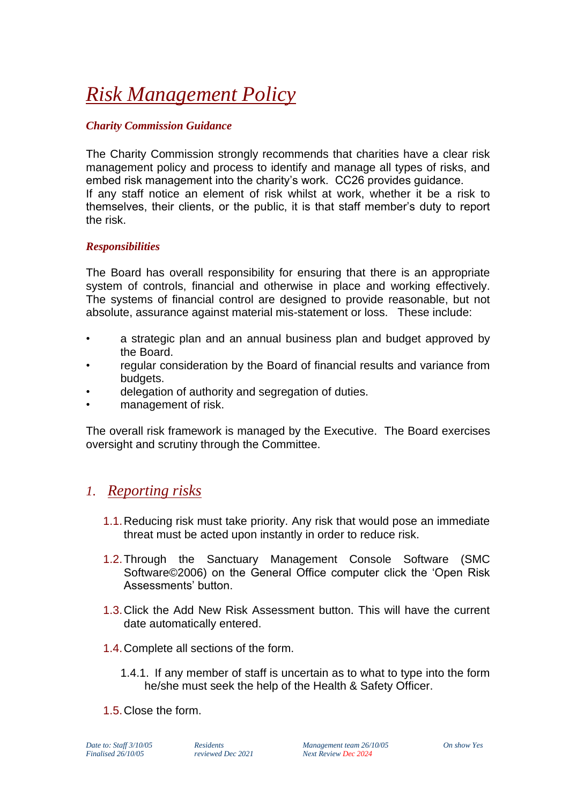# *Risk Management Policy*

### *Charity Commission Guidance*

The Charity Commission strongly recommends that charities have a clear risk management policy and process to identify and manage all types of risks, and embed risk management into the charity's work. CC26 provides guidance. If any staff notice an element of risk whilst at work, whether it be a risk to themselves, their clients, or the public, it is that staff member's duty to report the risk.

#### *Responsibilities*

The Board has overall responsibility for ensuring that there is an appropriate system of controls, financial and otherwise in place and working effectively. The systems of financial control are designed to provide reasonable, but not absolute, assurance against material mis-statement or loss. These include:

- a strategic plan and an annual business plan and budget approved by the Board.
- regular consideration by the Board of financial results and variance from budgets.
- delegation of authority and segregation of duties.
- management of risk.

The overall risk framework is managed by the Executive. The Board exercises oversight and scrutiny through the Committee.

## *1. Reporting risks*

- 1.1.Reducing risk must take priority. Any risk that would pose an immediate threat must be acted upon instantly in order to reduce risk.
- 1.2.Through the Sanctuary Management Console Software (SMC Software©2006) on the General Office computer click the 'Open Risk Assessments' button.
- 1.3.Click the Add New Risk Assessment button. This will have the current date automatically entered.
- 1.4.Complete all sections of the form.
	- 1.4.1. If any member of staff is uncertain as to what to type into the form he/she must seek the help of the Health & Safety Officer.
- 1.5.Close the form.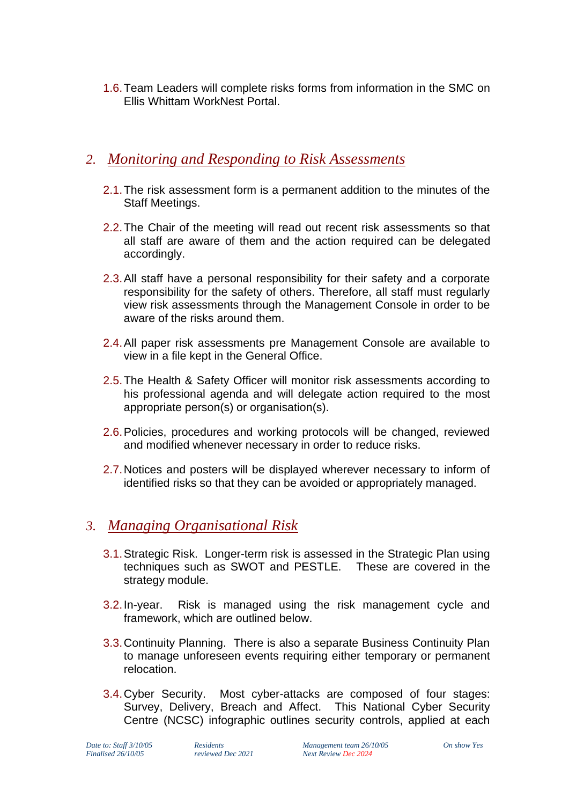1.6.Team Leaders will complete risks forms from information in the SMC on Ellis Whittam WorkNest Portal.

## *2. Monitoring and Responding to Risk Assessments*

- 2.1.The risk assessment form is a permanent addition to the minutes of the Staff Meetings.
- 2.2.The Chair of the meeting will read out recent risk assessments so that all staff are aware of them and the action required can be delegated accordingly.
- 2.3.All staff have a personal responsibility for their safety and a corporate responsibility for the safety of others. Therefore, all staff must regularly view risk assessments through the Management Console in order to be aware of the risks around them.
- 2.4.All paper risk assessments pre Management Console are available to view in a file kept in the General Office.
- 2.5.The Health & Safety Officer will monitor risk assessments according to his professional agenda and will delegate action required to the most appropriate person(s) or organisation(s).
- 2.6.Policies, procedures and working protocols will be changed, reviewed and modified whenever necessary in order to reduce risks.
- 2.7.Notices and posters will be displayed wherever necessary to inform of identified risks so that they can be avoided or appropriately managed.

## *3. Managing Organisational Risk*

- 3.1.Strategic Risk. Longer-term risk is assessed in the Strategic Plan using techniques such as SWOT and PESTLE. These are covered in the strategy module.
- 3.2.In-year. Risk is managed using the risk management cycle and framework, which are outlined below.
- 3.3.Continuity Planning. There is also a separate Business Continuity Plan to manage unforeseen events requiring either temporary or permanent relocation.
- 3.4.Cyber Security. Most cyber-attacks are composed of four stages: Survey, Delivery, Breach and Affect. This National Cyber Security Centre (NCSC) infographic outlines security controls, applied at each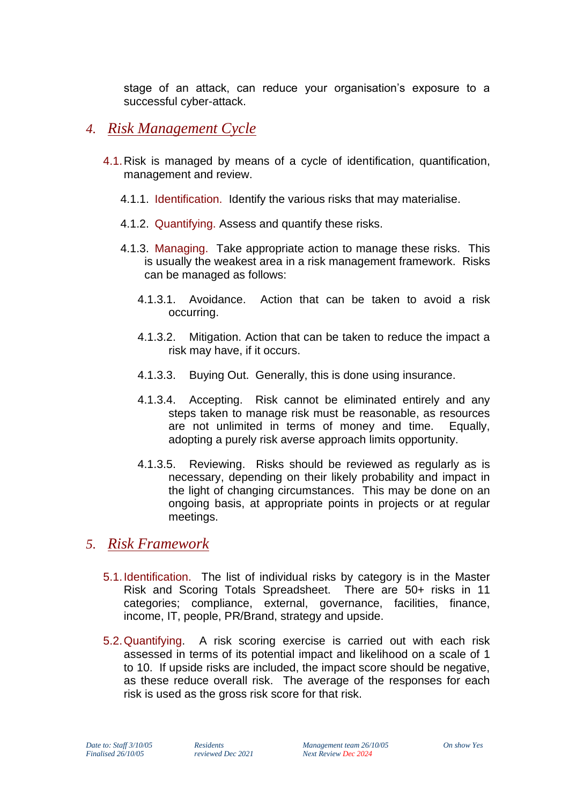stage of an attack, can reduce your organisation's exposure to a successful cyber-attack.

- *4. Risk Management Cycle*
	- 4.1.Risk is managed by means of a cycle of identification, quantification, management and review.
		- 4.1.1. Identification. Identify the various risks that may materialise.
		- 4.1.2. Quantifying. Assess and quantify these risks.
		- 4.1.3. Managing. Take appropriate action to manage these risks. This is usually the weakest area in a risk management framework. Risks can be managed as follows:
			- 4.1.3.1. Avoidance. Action that can be taken to avoid a risk occurring.
			- 4.1.3.2. Mitigation. Action that can be taken to reduce the impact a risk may have, if it occurs.
			- 4.1.3.3. Buying Out. Generally, this is done using insurance.
			- 4.1.3.4. Accepting. Risk cannot be eliminated entirely and any steps taken to manage risk must be reasonable, as resources are not unlimited in terms of money and time. Equally, adopting a purely risk averse approach limits opportunity.
			- 4.1.3.5. Reviewing. Risks should be reviewed as regularly as is necessary, depending on their likely probability and impact in the light of changing circumstances. This may be done on an ongoing basis, at appropriate points in projects or at regular meetings.

## *5. Risk Framework*

- 5.1.Identification. The list of individual risks by category is in the Master Risk and Scoring Totals Spreadsheet. There are 50+ risks in 11 categories; compliance, external, governance, facilities, finance, income, IT, people, PR/Brand, strategy and upside.
- 5.2.Quantifying. A risk scoring exercise is carried out with each risk assessed in terms of its potential impact and likelihood on a scale of 1 to 10. If upside risks are included, the impact score should be negative, as these reduce overall risk. The average of the responses for each risk is used as the gross risk score for that risk.

*Date to: Staff 3/10/05 Residents Management team 26/10/05 On show Yes Finalised 26/10/05 reviewed Dec 2021 Next Review Dec 2024*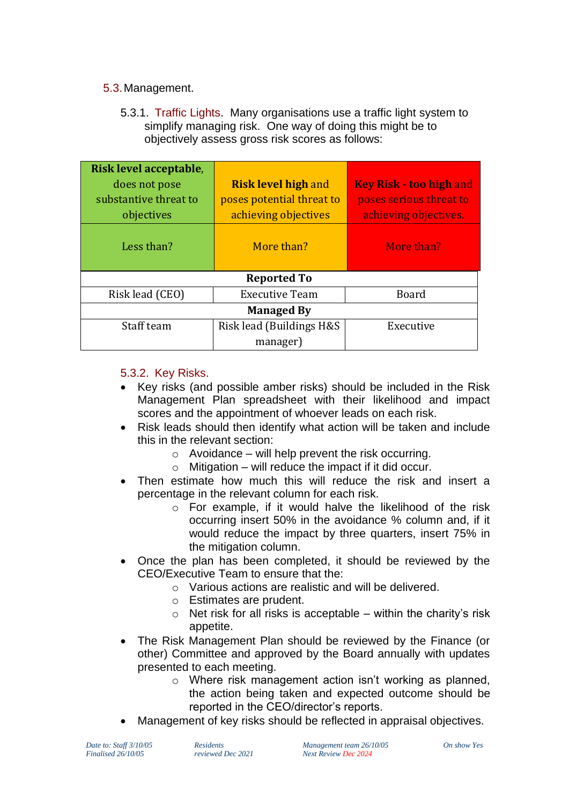#### 5.3.Management.

5.3.1. Traffic Lights. Many organisations use a traffic light system to simplify managing risk. One way of doing this might be to objectively assess gross risk scores as follows:

| Risk level acceptable, |                            |                                |
|------------------------|----------------------------|--------------------------------|
| does not pose          | <b>Risk level high and</b> | <b>Key Risk - too high and</b> |
| substantive threat to  | poses potential threat to  | poses serious threat to        |
| objectives             | achieving objectives       | achieving objectives.          |
| Less than?             | More than?                 | More than?                     |
| <b>Reported To</b>     |                            |                                |
| Risk lead (CEO)        | <b>Executive Team</b>      | Board                          |
| <b>Managed By</b>      |                            |                                |
| Staff team             | Risk lead (Buildings H&S)  | Executive                      |
|                        | manager)                   |                                |

## 5.3.2. Key Risks.

- Key risks (and possible amber risks) should be included in the Risk Management Plan spreadsheet with their likelihood and impact scores and the appointment of whoever leads on each risk.
- Risk leads should then identify what action will be taken and include this in the relevant section:
	- $\circ$  Avoidance will help prevent the risk occurring.
	- $\circ$  Mitigation will reduce the impact if it did occur.
- Then estimate how much this will reduce the risk and insert a percentage in the relevant column for each risk.
	- o For example, if it would halve the likelihood of the risk occurring insert 50% in the avoidance % column and, if it would reduce the impact by three quarters, insert 75% in the mitigation column.
- Once the plan has been completed, it should be reviewed by the CEO/Executive Team to ensure that the:
	- o Various actions are realistic and will be delivered.
	- o Estimates are prudent.
	- $\circ$  Net risk for all risks is acceptable within the charity's risk appetite.
- The Risk Management Plan should be reviewed by the Finance (or other) Committee and approved by the Board annually with updates presented to each meeting.
	- o Where risk management action isn't working as planned, the action being taken and expected outcome should be reported in the CEO/director's reports.
- Management of key risks should be reflected in appraisal objectives.